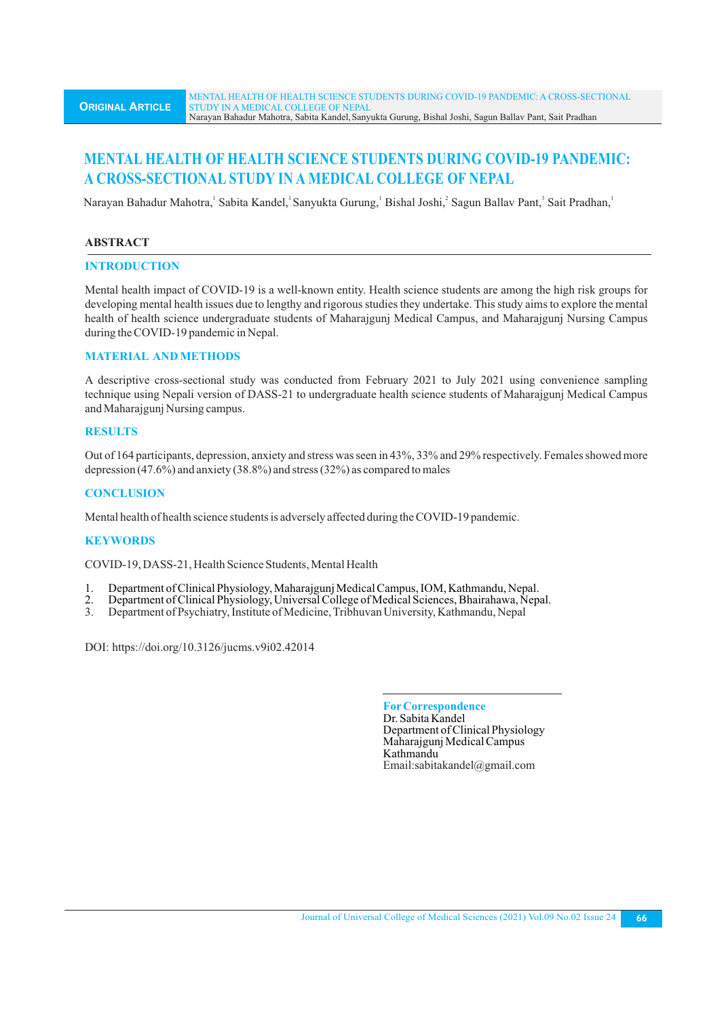# **MENTAL HEALTH OF HEALTH SCIENCE STUDENTS DURING COVID-19 PANDEMIC: A CROSS-SECTIONAL STUDY IN A MEDICAL COLLEGE OF NEPAL**

Narayan Bahadur Mahotra, Sabita Kandel, Sanyukta Gurung, Bishal Joshi, Sagun Ballav Pant, Sait Pradhan,

# **ABSTRACT**

# **INTRODUCTION**

Mental health impact of COVID-19 is a well-known entity. Health science students are among the high risk groups for developing mental health issues due to lengthy and rigorous studies they undertake. This study aims to explore the mental health of health science undergraduate students of Maharajgunj Medical Campus, and Maharajgunj Nursing Campus during the COVID-19 pandemic in Nepal.

# **MATERIAL AND METHODS**

A descriptive cross-sectional study was conducted from February 2021 to July 2021 using convenience sampling technique using Nepali version of DASS-21 to undergraduate health science students of Maharajgunj Medical Campus and Maharajgunj Nursing campus.

# **RESULTS**

Out of 164 participants, depression, anxiety and stress was seen in 43%, 33% and 29% respectively. Females showed more depression (47.6%) and anxiety (38.8%) and stress (32%) as compared to males

# **CONCLUSION**

Mental health of health science students is adversely affected during the COVID-19 pandemic.

# **KEYWORDS**

COVID-19, DASS-21, Health Science Students, Mental Health

- 1. Department of Clinical Physiology, Maharajgunj Medical Campus, IOM, Kathmandu, Nepal.<br>2. Department of Clinical Physiology, Universal College of Medical Sciences, Bhairahawa, Nep
- 2. Department of Clinical Physiology, Universal College of Medical Sciences, Bhairahawa, Nepal.<br>2. Department of Psychiatry Institute of Medicine, Tribhuyan University Kathmandu, Nepal.
- 3. Department of Psychiatry, Institute of Medicine, Tribhuvan University, Kathmandu, Nepal

DOI: https://doi.org/10.3126/jucms.v9i02.42014

**ForCorrespondence** Dr. Sabita Kandel Department of Clinical Physiology Maharajgunj Medical Campus Kathmandu Email:sabitakandel@gmail.com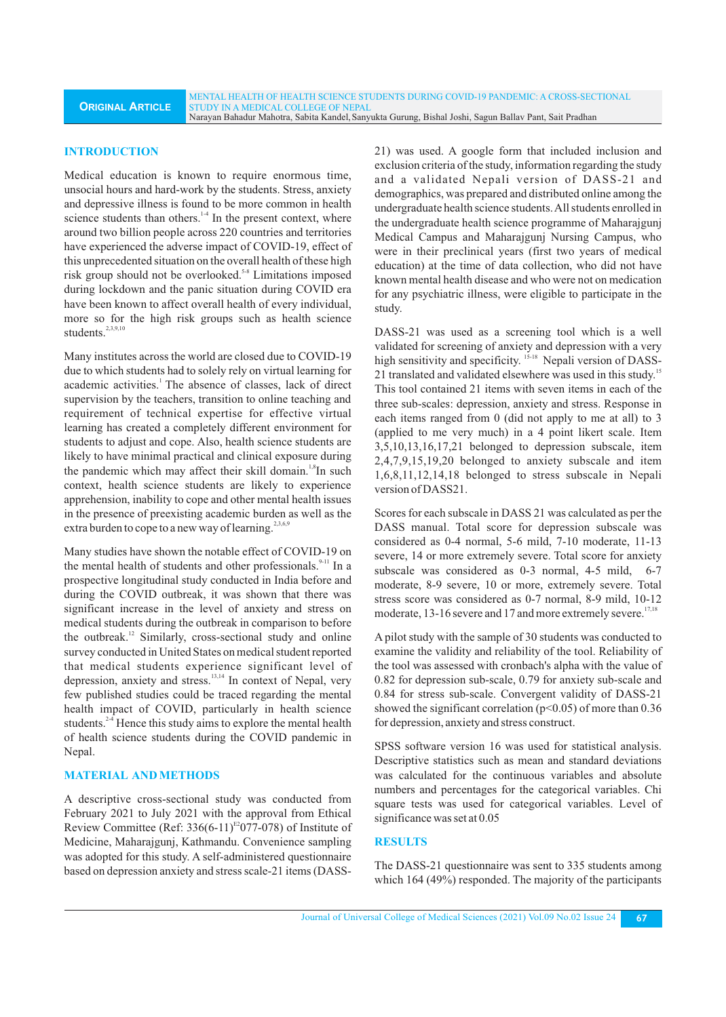#### **INTRODUCTION**

Medical education is known to require enormous time, unsocial hours and hard-work by the students. Stress, anxiety and depressive illness is found to be more common in health science students than others.<sup>14</sup> In the present context, where around two billion people across 220 countries and territories have experienced the adverse impact of COVID-19, effect of this unprecedented situation on the overall health of these high risk group should not be overlooked.<sup>5-8</sup> Limitations imposed during lockdown and the panic situation during COVID era have been known to affect overall health of every individual, more so for the high risk groups such as health science students.<sup>2,3,9,10</sup>

Many institutes across the world are closed due to COVID-19 due to which students had to solely rely on virtual learning for academic activities.<sup>1</sup> The absence of classes, lack of direct supervision by the teachers, transition to online teaching and requirement of technical expertise for effective virtual learning has created a completely different environment for students to adjust and cope. Also, health science students are likely to have minimal practical and clinical exposure during the pandemic which may affect their skill domain.<sup>1,8</sup>In such context, health science students are likely to experience apprehension, inability to cope and other mental health issues in the presence of preexisting academic burden as well as the extra burden to cope to a new way of learning.<sup>2,3,6,9</sup>

Many studies have shown the notable effect of COVID-19 on the mental health of students and other professionals.<sup>9-11</sup> In a prospective longitudinal study conducted in India before and during the COVID outbreak, it was shown that there was significant increase in the level of anxiety and stress on medical students during the outbreak in comparison to before the outbreak. $^{12}$  Similarly, cross-sectional study and online survey conducted in United States on medical student reported that medical students experience significant level of depression, anxiety and stress.<sup>13,14</sup> In context of Nepal, very few published studies could be traced regarding the mental health impact of COVID, particularly in health science students. $24$  Hence this study aims to explore the mental health of health science students during the COVID pandemic in Nepal.

# **MATERIAL AND METHODS**

A descriptive cross-sectional study was conducted from February 2021 to July 2021 with the approval from Ethical Review Committee (Ref:  $336(6-11)^{E2}077-078$ ) of Institute of Medicine, Maharajgunj, Kathmandu. Convenience sampling was adopted for this study. A self-administered questionnaire based on depression anxiety and stress scale-21 items (DASS-

21) was used. A google form that included inclusion and exclusion criteria of the study, information regarding the study and a validated Nepali version of DASS-21 and demographics, was prepared and distributed online among the undergraduate health science students. All students enrolled in the undergraduate health science programme of Maharajgunj Medical Campus and Maharajgunj Nursing Campus, who were in their preclinical years (first two years of medical education) at the time of data collection, who did not have known mental health disease and who were not on medication for any psychiatric illness, were eligible to participate in the study.

DASS-21 was used as a screening tool which is a well validated for screening of anxiety and depression with a very high sensitivity and specificity. <sup>15-18</sup> Nepali version of DASS-21 translated and validated elsewhere was used in this study.<sup>15</sup> This tool contained 21 items with seven items in each of the three sub-scales: depression, anxiety and stress. Response in each items ranged from 0 (did not apply to me at all) to 3 (applied to me very much) in a 4 point likert scale. Item 3,5,10,13,16,17,21 belonged to depression subscale, item 2,4,7,9,15,19,20 belonged to anxiety subscale and item 1,6,8,11,12,14,18 belonged to stress subscale in Nepali version of DASS21.

Scores for each subscale in DASS 21 was calculated as per the DASS manual. Total score for depression subscale was considered as 0-4 normal, 5-6 mild, 7-10 moderate, 11-13 severe, 14 or more extremely severe. Total score for anxiety subscale was considered as 0-3 normal, 4-5 mild, 6-7 moderate, 8-9 severe, 10 or more, extremely severe. Total stress score was considered as 0-7 normal, 8-9 mild, 10-12 moderate, 13-16 severe and 17 and more extremely severe.<sup>17,18</sup>

A pilot study with the sample of 30 students was conducted to examine the validity and reliability of the tool. Reliability of the tool was assessed with cronbach's alpha with the value of 0.82 for depression sub-scale, 0.79 for anxiety sub-scale and 0.84 for stress sub-scale. Convergent validity of DASS-21 showed the significant correlation ( $p<0.05$ ) of more than 0.36 for depression, anxiety and stress construct.

SPSS software version 16 was used for statistical analysis. Descriptive statistics such as mean and standard deviations was calculated for the continuous variables and absolute numbers and percentages for the categorical variables. Chi square tests was used for categorical variables. Level of significance was set at 0.05

### **RESULTS**

The DASS-21 questionnaire was sent to 335 students among which 164 (49%) responded. The majority of the participants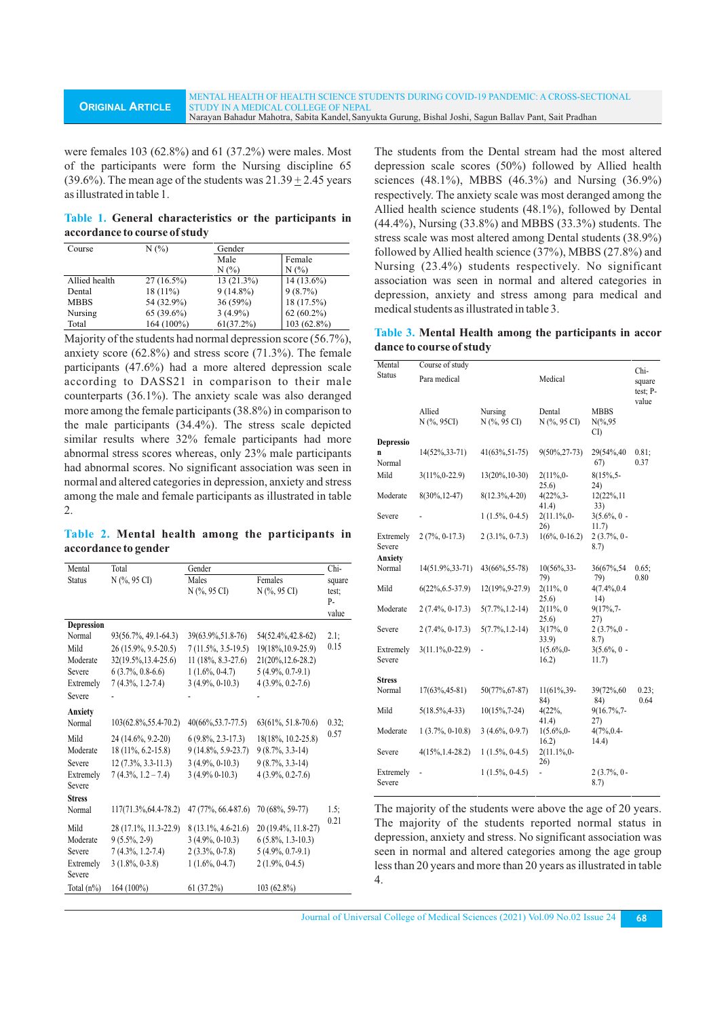were females 103 (62.8%) and 61 (37.2%) were males. Most of the participants were form the Nursing discipline 65 (39.6%). The mean age of the students was  $21.39 \pm 2.45$  years as illustrated in table 1.

**Table 1. General characteristics or the participants in accordance to course of study**

| Course        | $N(\%)$      | Gender       |              |  |
|---------------|--------------|--------------|--------------|--|
|               |              | Male         | Female       |  |
|               |              | $N(\%)$      | N(%          |  |
| Allied health | $27(16.5\%)$ | $13(21.3\%)$ | $14(13.6\%)$ |  |
| Dental        | $18(11\%)$   | $9(14.8\%)$  | $9(8.7\%)$   |  |
| <b>MBBS</b>   | 54 (32.9%)   | $36(59\%)$   | $18(17.5\%)$ |  |
| Nursing       | $65(39.6\%)$ | $3(4.9\%)$   | $62(60.2\%)$ |  |
| Total         | 164 (100%)   | 61(37.2%)    | 103 (62.8%)  |  |

Majority of the students had normal depression score (56.7%), anxiety score (62.8%) and stress score (71.3%). The female participants (47.6%) had a more altered depression scale according to DASS21 in comparison to their male counterparts (36.1%). The anxiety scale was also deranged more among the female participants (38.8%) in comparison to the male participants (34.4%). The stress scale depicted similar results where 32% female participants had more abnormal stress scores whereas, only 23% male participants had abnormal scores. No significant association was seen in normal and altered categories in depression, anxiety and stress among the male and female participants as illustrated in table 2.

**Table 2. Mental health among the participants in accordance to gender**

| Mental            | Total                    | Gender                |                       | Chi-   |
|-------------------|--------------------------|-----------------------|-----------------------|--------|
| <b>Status</b>     | N (%, 95 CI)             | Males                 | Females               | square |
|                   |                          | N (%, 95 CI)          | $N$ (%, 95 CI)        | test:  |
|                   |                          |                       |                       | P-     |
|                   |                          |                       |                       | value  |
| <b>Depression</b> |                          |                       |                       |        |
| Normal            | 93(56.7%, 49.1-64.3)     | 39(63.9%, 51.8-76)    | 54(52.4%, 42.8-62)    | 2.1:   |
| Mild              | 26 (15.9%, 9.5-20.5)     | $7(11.5\%, 3.5-19.5)$ | 19(18%, 10.9-25.9)    | 0.15   |
| Moderate          | 32(19.5%, 13.4-25.6)     | $11(18\%, 8.3-27.6)$  | 21(20%, 12.6-28.2)    |        |
| Severe            | $6(3.7\%, 0.8-6.6)$      | $1(1.6\%, 0-4.7)$     | $5(4.9\%, 0.7-9.1)$   |        |
| Extremely         | $7(4.3\%, 1.2-7.4)$      | $3(4.9\%, 0-10.3)$    | $4(3.9\%, 0.2-7.6)$   |        |
| Severe            |                          |                       |                       |        |
| Anxiety           |                          |                       |                       |        |
| Normal            | $103(62.8\%, 55.4-70.2)$ | $40(66\%, 53.7-77.5)$ | $63(61\%, 51.8-70.6)$ | 0.32:  |
| Mild              | 24 (14.6%, 9.2-20)       | $6(9.8\%, 2.3-17.3)$  | 18(18%, 10.2-25.8)    | 0.57   |
| Moderate          | $18(11\%, 6.2-15.8)$     | $9(14.8\%, 5.9-23.7)$ | $9(8.7\%, 3.3-14)$    |        |
| Severe            | $12(7.3\%, 3.3-11.3)$    | $3(4.9\%, 0-10.3)$    | $9(8.7\%, 3.3-14)$    |        |
| Extremely         | $7(4.3\%, 1.2 - 7.4)$    | $3(4.9\% 0-10.3)$     | $4(3.9\%, 0.2-7.6)$   |        |
| Severe            |                          |                       |                       |        |
| <b>Stress</b>     |                          |                       |                       |        |
| Normal            | $117(71.3\%, 64.4-78.2)$ | 47 (77%, 66.4-87.6)   | 70 (68%, 59-77)       | 1.5:   |
| Mild              | 28 (17.1%, 11.3-22.9)    | $8(13.1\%, 4.6-21.6)$ | 20 (19.4%, 11.8-27)   | 0.21   |
| Moderate          | $9(5.5\%, 2-9)$          | $3(4.9\%, 0-10.3)$    | $6(5.8\%, 1.3-10.3)$  |        |
| Severe            | $7(4.3\%, 1.2-7.4)$      | $2(3.3\%, 0-7.8)$     | $5(4.9\%, 0.7-9.1)$   |        |
| Extremely         | $3(1.8\%, 0-3.8)$        | $1(1.6\%, 0-4.7)$     | $2(1.9\%, 0-4.5)$     |        |
| Severe            |                          |                       |                       |        |
| Total $(n\%)$     | $164(100\%)$             | 61(37.2%)             | $103(62.8\%)$         |        |
|                   |                          |                       |                       |        |

The students from the Dental stream had the most altered depression scale scores (50%) followed by Allied health sciences (48.1%), MBBS (46.3%) and Nursing (36.9%) respectively. The anxiety scale was most deranged among the Allied health science students (48.1%), followed by Dental (44.4%), Nursing (33.8%) and MBBS (33.3%) students. The stress scale was most altered among Dental students (38.9%) followed by Allied health science (37%), MBBS (27.8%) and Nursing (23.4%) students respectively. No significant association was seen in normal and altered categories in depression, anxiety and stress among para medical and medical students as illustrated in table 3.

**Table 3. Mental Health among the participants in accor dance to course of study**

| Mental                         | Course of study       |                         |                         |                                  | Chi-                        |
|--------------------------------|-----------------------|-------------------------|-------------------------|----------------------------------|-----------------------------|
| <b>Status</b>                  | Para medical          |                         | Medical                 |                                  | square<br>test; P-<br>value |
|                                | Allied<br>N (%, 95CI) | Nursing<br>N (%, 95 CI) | Dental<br>N (%, 95 CI)  | <b>MBBS</b><br>$N(\%, 95)$<br>CI |                             |
| Depressio<br>n<br>Normal       | $14(52\%, 33-71)$     | $41(63\%, 51-75)$       | $9(50\%, 27-73)$        | 29(54%, 40)<br>67)               | 0.81;<br>0.37               |
| Mild                           | $3(11\%, 0-22.9)$     | $13(20\%, 10-30)$       | $2(11\%,0-$<br>25.6)    | $8(15\%, 5-$<br>24)              |                             |
| Moderate                       | $8(30\%, 12-47)$      | $8(12.3\%, 4-20)$       | $4(22\%, 3 -$<br>41.4)  | 12(22%, 11<br>33)                |                             |
| Severe                         |                       | $1(1.5\%, 0-4.5)$       | 2(11.1%,0-<br>26)       | $3(5.6\%, 0 -$<br>11.7)          |                             |
| Extremely<br>Severe<br>Anxiety | $2(7\%, 0-17.3)$      | $2(3.1\%, 0-7.3)$       | $1(6\%, 0-16.2)$        | $2(3.7\%, 0 -$<br>8.7)           |                             |
| Normal                         | 14(51.9%, 33-71)      | 43(66%, 55-78)          | $10(56\%, 33-$<br>79)   | 36(67%,54<br>79)                 | 0.65:<br>0.80               |
| Mild                           | $6(22\%, 6.5-37.9)$   | 12(19%, 9-27.9)         | $2(11\%, 0)$<br>25.6)   | $4(7.4\%, 0.4)$<br>(14)          |                             |
| Moderate                       | $2(7.4\%, 0-17.3)$    | $5(7.7\%, 1.2-14)$      | $2(11\%, 0)$<br>25.6)   | $9(17\%, 7$ -<br>27)             |                             |
| Severe                         | $2(7.4\%, 0-17.3)$    | $5(7.7\%, 1.2-14)$      | 3(17%, 0)<br>33.9)      | $2(3.7\%,0 -$<br>8.7)            |                             |
| Extremely<br>Severe            | $3(11.1\%, 0-22.9)$   | ÷                       | $1(5.6\%,0)$ -<br>16.2) | $3(5.6\%, 0 -$<br>11.7)          |                             |
| <b>Stress</b>                  |                       |                         |                         |                                  |                             |
| Normal                         | $17(63\%, 45-81)$     | 50(77%, 67-87)          | 11(61%, 39-<br>84)      | 39(72%,60<br>84)                 | 0.23;<br>0.64               |
| Mild                           | $5(18.5\%, 4-33)$     | $10(15\%, 7-24)$        | 4(22%<br>41.4)          | 9(16.7%,7-<br>27)                |                             |
| Moderate                       | $1(3.7\%, 0-10.8)$    | $3(4.6\%, 0-9.7)$       | $1(5.6\%,0)$ -<br>16.2) | 4(7%,0.4-<br>14.4)               |                             |
| Severe                         | $4(15\%, 1.4-28.2)$   | $1(1.5\%, 0-4.5)$       | 2(11.1%,0-<br>26)       |                                  |                             |
| Extremely<br>Severe            |                       | $1(1.5\%, 0-4.5)$       |                         | $2(3.7\%, 0 -$<br>8.7)           |                             |

The majority of the students were above the age of 20 years. The majority of the students reported normal status in depression, anxiety and stress. No significant association was seen in normal and altered categories among the age group less than 20 years and more than 20 years as illustrated in table 4.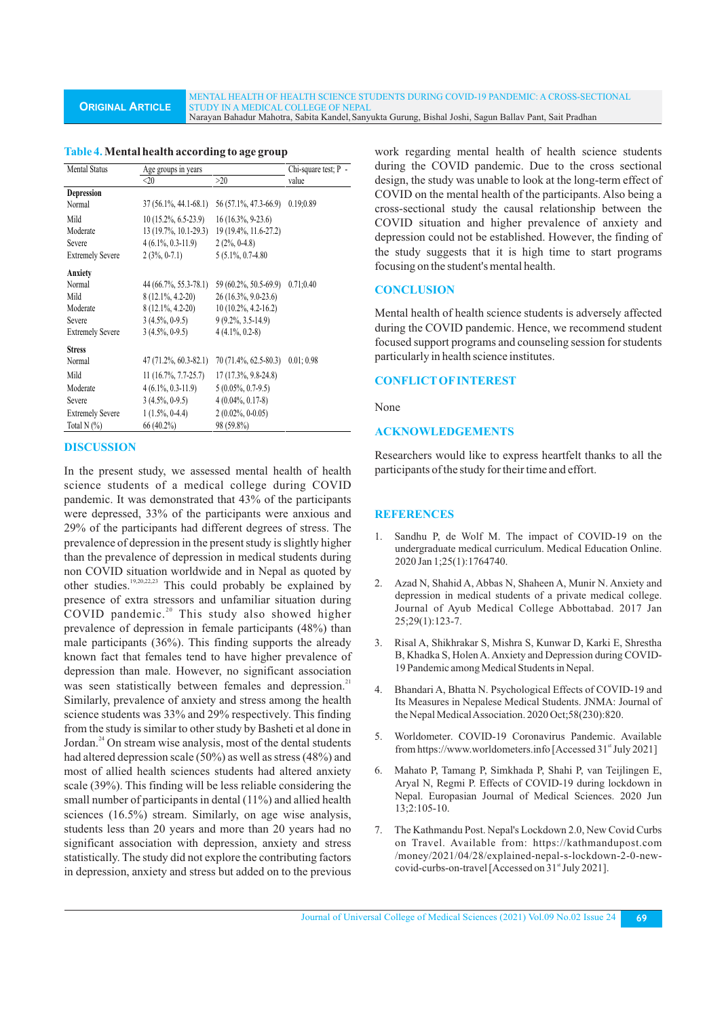**ORIGINAL ARTICLE** MENTAL HEALTH OF HEALTH SCIENCE STUDENTS DURING COVID-19 PANDEMIC: A CROSS-SECTIONAL STUDY IN A MEDICAL COLLEGE OF NEPAL Narayan Bahadur Mahotra, Sabita Kandel,Sanyukta Gurung, Bishal Joshi, Sagun Ballav Pant, Sait Pradhan

| Mental Status           | Age groups in years     |                                    | Chi-square test; P - |  |
|-------------------------|-------------------------|------------------------------------|----------------------|--|
|                         | $<$ 20                  | >20                                | value                |  |
| <b>Depression</b>       |                         |                                    |                      |  |
| Normal                  | $37(56.1\%, 44.1-68.1)$ | 56 (57.1%, 47.3-66.9)              | 0.19;0.89            |  |
| Mild                    | $10(15.2\%, 6.5-23.9)$  | $16(16.3\%, 9-23.6)$               |                      |  |
| Moderate                | 13 (19.7%, 10.1-29.3)   | 19 (19.4%, 11.6-27.2)              |                      |  |
| Severe                  | $4(6.1\%, 0.3-11.9)$    | $2(2\%, 0-4.8)$                    |                      |  |
| <b>Extremely Severe</b> | $2(3\%, 0-7.1)$         | $5(5.1\%, 0.7-4.80)$               |                      |  |
| Anxiety                 |                         |                                    |                      |  |
| Normal                  | 44 (66.7%, 55.3-78.1)   | 59 (60.2%, 50.5-69.9)              | 0.71;0.40            |  |
| Mild                    | $8(12.1\%, 4.2-20)$     | 26 (16.3%, 9.0-23.6)               |                      |  |
| Moderate                | $8(12.1\%, 4.2-20)$     | $10(10.2\%, 4.2-16.2)$             |                      |  |
| Severe                  | $3(4.5\%, 0.9.5)$       | $9(9.2\%, 3.5-14.9)$               |                      |  |
| <b>Extremely Severe</b> | $3(4.5\%, 0.9.5)$       | $4(4.1\%, 0.2-8)$                  |                      |  |
| <b>Stress</b>           |                         |                                    |                      |  |
| Normal                  | $47(71.2\%, 60.3-82.1)$ | $70(71.4\%, 62.5-80.3)$ 0.01; 0.98 |                      |  |
| Mild                    | $11(16.7\%, 7.7-25.7)$  | $17(17.3\%, 9.8-24.8)$             |                      |  |
| Moderate                | $4(6.1\%, 0.3-11.9)$    | $5(0.05\%, 0.7-9.5)$               |                      |  |
| Severe                  | $3(4.5\%, 0.9.5)$       | $4(0.04\%, 0.17-8)$                |                      |  |
| <b>Extremely Severe</b> | $1(1.5\%, 0-4.4)$       | $2(0.02\%, 0-0.05)$                |                      |  |
| Total N $(\%)$          | 66 (40.2%)              | 98 (59.8%)                         |                      |  |

### **Table 4.Mental health according to age group**

#### **DISCUSSION**

In the present study, we assessed mental health of health science students of a medical college during COVID pandemic. It was demonstrated that 43% of the participants were depressed, 33% of the participants were anxious and 29% of the participants had different degrees of stress. The prevalence of depression in the present study is slightly higher than the prevalence of depression in medical students during non COVID situation worldwide and in Nepal as quoted by other studies.<sup>19,20,22,23</sup> This could probably be explained by presence of extra stressors and unfamiliar situation during COVID pandemic.<sup>20</sup> This study also showed higher prevalence of depression in female participants (48%) than male participants (36%). This finding supports the already known fact that females tend to have higher prevalence of depression than male. However, no significant association was seen statistically between females and depression.<sup>21</sup> Similarly, prevalence of anxiety and stress among the health science students was 33% and 29% respectively. This finding from the study is similar to other study by Basheti et al done in Jordan. $^{24}$  On stream wise analysis, most of the dental students had altered depression scale (50%) as well as stress (48%) and most of allied health sciences students had altered anxiety scale (39%). This finding will be less reliable considering the small number of participants in dental (11%) and allied health sciences (16.5%) stream. Similarly, on age wise analysis, students less than 20 years and more than 20 years had no significant association with depression, anxiety and stress statistically. The study did not explore the contributing factors in depression, anxiety and stress but added on to the previous

work regarding mental health of health science students during the COVID pandemic. Due to the cross sectional design, the study was unable to look at the long-term effect of COVID on the mental health of the participants. Also being a cross-sectional study the causal relationship between the COVID situation and higher prevalence of anxiety and depression could not be established. However, the finding of the study suggests that it is high time to start programs focusing on the student's mental health.

#### **CONCLUSION**

Mental health of health science students is adversely affected during the COVID pandemic. Hence, we recommend student focused support programs and counseling session for students particularly in health science institutes.

# **CONFLICTOFINTEREST**

None

#### **ACKNOWLEDGEMENTS**

Researchers would like to express heartfelt thanks to all the participants of the study for their time and effort.

#### **REFERENCES**

- 1. Sandhu P, de Wolf M. The impact of COVID-19 on the undergraduate medical curriculum. Medical Education Online. 2020 Jan 1;25(1):1764740.
- 2. Azad N, Shahid A, Abbas N, Shaheen A, Munir N. Anxiety and depression in medical students of a private medical college. Journal of Ayub Medical College Abbottabad. 2017 Jan 25;29(1):123-7.
- 3. Risal A, Shikhrakar S, Mishra S, Kunwar D, Karki E, Shrestha B, Khadka S, Holen A. Anxiety and Depression during COVID-19 Pandemic among Medical Students in Nepal.
- 4. Bhandari A, Bhatta N. Psychological Effects of COVID-19 and Its Measures in Nepalese Medical Students. JNMA: Journal of the Nepal Medical Association. 2020 Oct;58(230):820.
- 5. Worldometer. COVID-19 Coronavirus Pandemic. Available from https://www.worldometers.info [Accessed  $31<sup>st</sup>$  July 2021]
- 6. Mahato P, Tamang P, Simkhada P, Shahi P, van Teijlingen E, Aryal N, Regmi P. Effects of COVID-19 during lockdown in Nepal. Europasian Journal of Medical Sciences. 2020 Jun 13;2:105-10.
- 7. The Kathmandu Post. Nepal's Lockdown 2.0, New Covid Curbs on Travel. Available from: https://kathmandupost.com /money/2021/04/28/explained-nepal-s-lockdown-2-0-newcovid-curbs-on-travel [Accessed on  $31<sup>st</sup>$  July 2021].